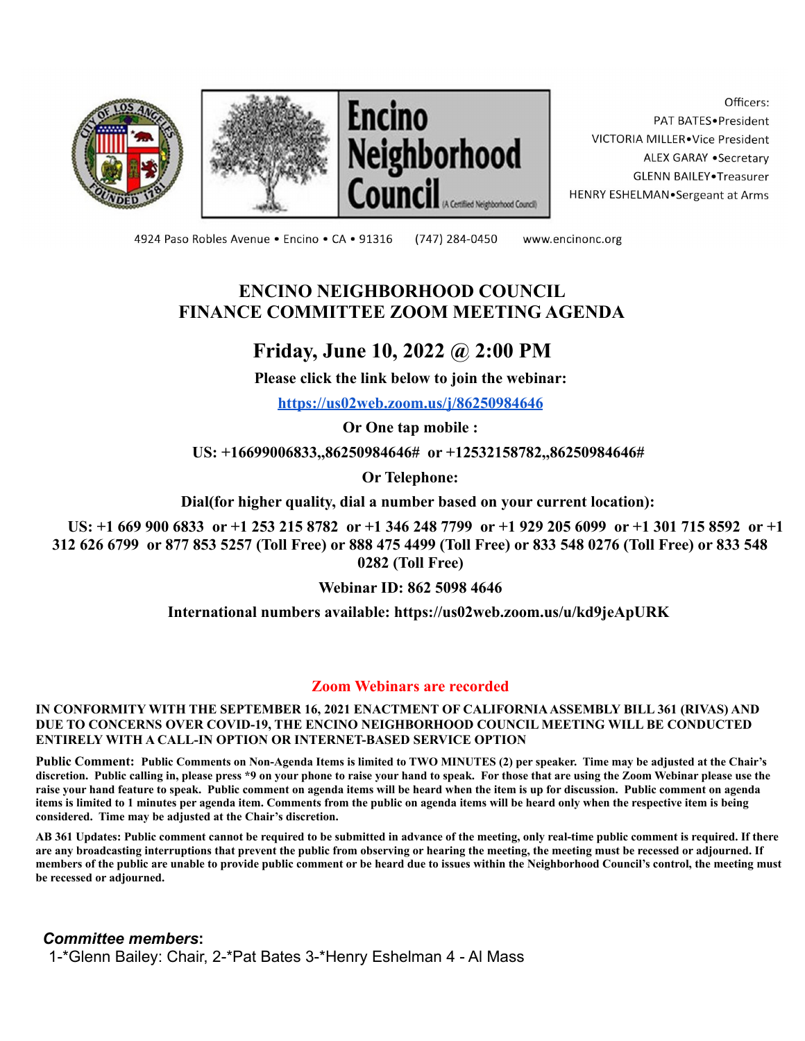





Officers: PAT BATES.President VICTORIA MILLER.Vice President ALEX GARAY .Secretary **GLENN BAILEY** Treasurer HENRY ESHELMAN.Sergeant at Arms

4924 Paso Robles Avenue · Encino · CA · 91316

(747) 284-0450

www.encinonc.org

## **ENCINO NEIGHBORHOOD COUNCIL FINANCE COMMITTEE ZOOM MEETING AGENDA**

# **Friday, June 10, 2022 @ 2:00 PM**

**Please click the link below to join the webinar:**

**<https://us02web.zoom.us/j/86250984646>**

**Or One tap mobile :**

**US: +16699006833,,86250984646# or +12532158782,,86250984646#**

**Or Telephone:**

**Dial(for higher quality, dial a number based on your current location):**

**US: +1 669 900 6833 or +1 253 215 8782 or +1 346 248 7799 or +1 929 205 6099 or +1 301 715 8592 or +1 312 626 6799 or 877 853 5257 (Toll Free) or 888 475 4499 (Toll Free) or 833 548 0276 (Toll Free) or 833 548 0282 (Toll Free)**

**Webinar ID: 862 5098 4646**

**International numbers available: https://us02web.zoom.us/u/kd9jeApURK**

#### **Zoom Webinars are recorded**

**IN CONFORMITY WITH THE SEPTEMBER 16, 2021 ENACTMENT OF CALIFORNIAASSEMBLY BILL 361 (RIVAS) AND DUE TO CONCERNS OVER COVID-19, THE ENCINO NEIGHBORHOOD COUNCIL MEETING WILL BE CONDUCTED ENTIRELY WITH A CALL-IN OPTION OR INTERNET-BASED SERVICE OPTION**

**Public Comment: Public Comments on Non-Agenda Items is limited to TWO MINUTES (2) per speaker. Time may be adjusted at the Chair's discretion. Public calling in, please press \*9 on your phone to raise your hand to speak. For those that are using the Zoom Webinar please use the raise your hand feature to speak. Public comment on agenda items will be heard when the item is up for discussion. Public comment on agenda items is limited to 1 minutes per agenda item. Comments from the public on agenda items will be heard only when the respective item is being considered. Time may be adjusted at the Chair's discretion.**

**AB 361 Updates: Public comment cannot be required to be submitted in advance of the meeting, only real-time public comment is required. If there are any broadcasting interruptions that prevent the public from observing or hearing the meeting, the meeting must be recessed or adjourned. If members of the public are unable to provide public comment or be heard due to issues within the Neighborhood Council's control, the meeting must be recessed or adjourned.**

*Committee members***:** 1-\*Glenn Bailey: Chair, 2-\*Pat Bates 3-\*Henry Eshelman 4 - Al Mass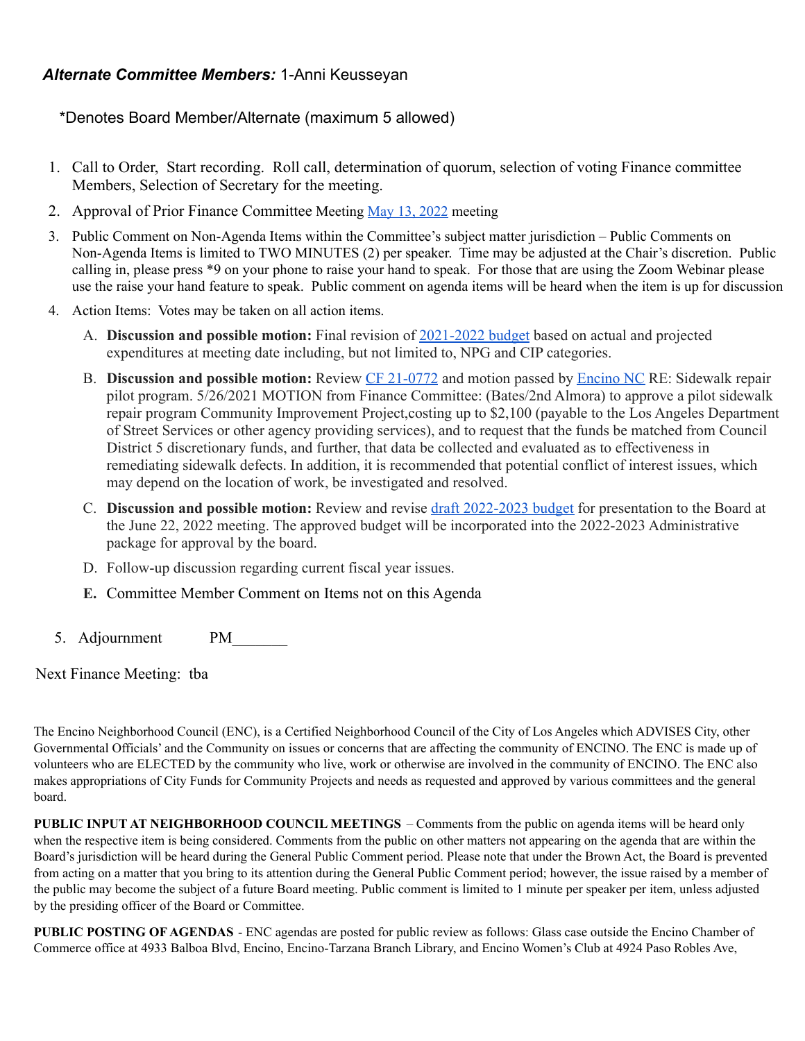### *Alternate Committee Members:* 1-Anni Keusseyan

\*Denotes Board Member/Alternate (maximum 5 allowed)

- 1. Call to Order, Start recording. Roll call, determination of quorum, selection of voting Finance committee Members, Selection of Secretary for the meeting.
- 2. Approval of Prior Finance Committee Meeting May 13, [2022](https://www.encinonc.org/assets/documents/8/meeting6283f2657c380.pdf) meeting
- 3. Public Comment on Non-Agenda Items within the Committee's subject matter jurisdiction Public Comments on Non-Agenda Items is limited to TWO MINUTES (2) per speaker. Time may be adjusted at the Chair's discretion. Public calling in, please press \*9 on your phone to raise your hand to speak. For those that are using the Zoom Webinar please use the raise your hand feature to speak. Public comment on agenda items will be heard when the item is up for discussion
- 4. Action Items: Votes may be taken on all action items.
	- A. **Discussion and possible motion:** Final revision of [2021-2022](https://www.encinonc.org/assets/documents/8/meeting629fad019f8ee.pdf) budget based on actual and projected expenditures at meeting date including, but not limited to, NPG and CIP categories.
	- B. **Discussion and possible motion:** Review CF [21-0772](https://clkrep.lacity.org/onlinedocs/2021/21-0772_mot_07-01-2021.pdf) and motion passed by [Encino](https://www.encinonc.org/assets/documents/8/meeting60aff4236250e.pdf) NC RE: Sidewalk repair pilot program. 5/26/2021 MOTION from Finance Committee: (Bates/2nd Almora) to approve a pilot sidewalk repair program Community Improvement Project,costing up to \$2,100 (payable to the Los Angeles Department of Street Services or other agency providing services), and to request that the funds be matched from Council District 5 discretionary funds, and further, that data be collected and evaluated as to effectiveness in remediating sidewalk defects. In addition, it is recommended that potential conflict of interest issues, which may depend on the location of work, be investigated and resolved.
	- C. **Discussion and possible motion:** Review and revise draft [2022-2023](https://www.encinonc.org/assets/documents/8/meeting629e4ca3caab6.pdf) budget for presentation to the Board at the June 22, 2022 meeting. The approved budget will be incorporated into the 2022-2023 Administrative package for approval by the board.
	- D. Follow-up discussion regarding current fiscal year issues.
	- **E.** Committee Member Comment on Items not on this Agenda
- 5. Adjournment PM

Next Finance Meeting: tba

The Encino Neighborhood Council (ENC), is a Certified Neighborhood Council of the City of Los Angeles which ADVISES City, other Governmental Officials' and the Community on issues or concerns that are affecting the community of ENCINO. The ENC is made up of volunteers who are ELECTED by the community who live, work or otherwise are involved in the community of ENCINO. The ENC also makes appropriations of City Funds for Community Projects and needs as requested and approved by various committees and the general board.

**PUBLIC INPUT AT NEIGHBORHOOD COUNCIL MEETINGS** – Comments from the public on agenda items will be heard only when the respective item is being considered. Comments from the public on other matters not appearing on the agenda that are within the Board's jurisdiction will be heard during the General Public Comment period. Please note that under the Brown Act, the Board is prevented from acting on a matter that you bring to its attention during the General Public Comment period; however, the issue raised by a member of the public may become the subject of a future Board meeting. Public comment is limited to 1 minute per speaker per item, unless adjusted by the presiding officer of the Board or Committee.

**PUBLIC POSTING OF AGENDAS** - ENC agendas are posted for public review as follows: Glass case outside the Encino Chamber of Commerce office at 4933 Balboa Blvd, Encino, Encino-Tarzana Branch Library, and Encino Women's Club at 4924 Paso Robles Ave,